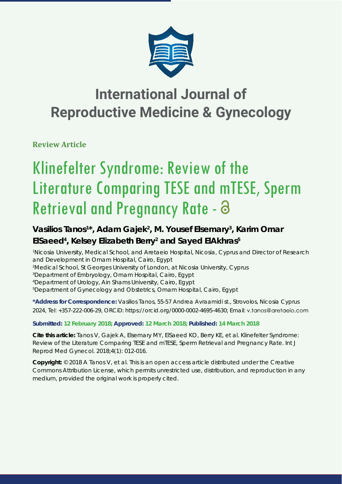

## **International Journal of Reproductive Medicine & Gynecology**

**Review Article**

# Klinefelter Syndrome: Review of the Literature Comparing TESE and mTESE, Sperm Retrieval and Pregnancy Rate - 8

### Vasilios Tanos<sup>1\*</sup>, Adam Gajek<sup>2</sup>, M. Yousef Elsemary<sup>3</sup>, Karim Omar **ElSaeed4 , Kelsey Elizabeth Berry2 and Sayed ElAkhras5**

*1 Nicosia University, Medical School, and Aretaeio Hospital, Nicosia, Cyprus and Director of Research and Development in Omam Hospital, Cairo, Egypt 2 Medical School, St Georges University of London, at Nicosia University, Cyprus* 

*3 Department of Embryology, Omam Hospital, Cairo, Egypt*

*4 Department of Urology, Ain Shams University, Cairo, Egypt*

*5 Department of Gynecology and Obstetrics, Omam Hospital, Cairo, Egypt*

**\*Address for Correspondence:** Vasilios Tanos, 55-57 Andrea Avraamidi st., Strovolos, Nicosia Cyprus 2024, Tel: +357-222-006-29, ORCiD: https://orcid.org/0000-0002-4695-4630; Email:

#### **Submitted: 12 February 2018; Approved: 12 March 2018; Published: 14 March 2018**

**Cite this article:** Tanos V, Gajek A, Elsemary MY, ElSaeed KO, Berry KE, et al. Klinefelter Syndrome: Review of the Literature Comparing TESE and mTESE, Sperm Retrieval and Pregnancy Rate. Int J Reprod Med Gynecol. 2018;4(1): 012-016.

**Copyright:** © 2018 A Tanos V, et al. This is an open access article distributed under the Creative Commons Attribution License, which permits unrestricted use, distribution, and reproduction in any medium, provided the original work is properly cited.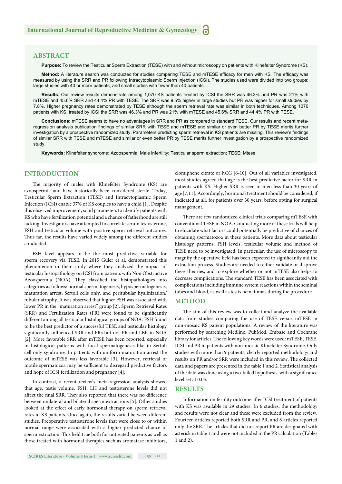#### **ABSTRACT**

**Purpose:** To review the Testicular Sperm Extraction (TESE) with and without microscopy on patients with Klinefelter Syndrome (KS).

Method: A literature search was conducted for studies comparing TESE and mTESE efficacy for men with KS. The efficacy was measured by using the SRR and PR following Intracytoplasmic Sperm Injection (ICSI). The studies used were divided into two groups: large studies with 40 or more patients, and small studies with fewer than 40 patients.

**Results**: Our review results demonstrate among 1,070 KS patients treated by ICSI the SRR was 46.3% and PR was 21% with mTESE and 45.6% SRR and 44.4% PR with TESE. The SRR was 9.5% higher in large studies but PR was higher for small studies by 7.8%. Higher pregnancy rates demonstrated by TESE although the sperm retrieval rate was similar in both techniques. Among 1070 patients with KS, treated by ICSI the SRR was 46.3% and PR was 21% with mTESE and 45.6% SRR and 44.4% PR with TESE.

**Conclusions:** mTESE seems to have no advantages in SRR and PR as compared to standard TESE. Our results and recent metaregression analysis publication findings of similar SRR with TESE and mTESE and similar or even better PR by TESE merits further investigation by a prospective randomized study. Parameters predicting sperm retrieval in KS patients are missing. This review's findings of similar SRR with TESE and mTESE and similar or even better PR by TESE merits further investigation by a prospective randomized study.

**Keywords:** Klinefelter syndrome; Azoospermia; Male infertility; Testicular sperm extraction; TESE; Mtese

#### **INTRODUCTION**

The majority of males with Klinefelter Syndrome (KS) are azoospermic and have historically been considered sterile. Today, Testicular Sperm Extraction (TESE) and Intracytoplasmic Sperm Injection (ICSI) enable 37% of KS couples to have a child [1]. Despite this observed improvement, solid parameters to identify patients with KS who have fertilization potential and a chance of fatherhood are still lacking. Investigators have attempted to correlate serum testosterone, FSH and testicular volume with positive sperm retrieval outcomes. Thus far, the results have varied widely among the different studies conducted.

FSH level appears to be the most predictive variable for sperm recovery via TESE. In 2015 Guler et al. demonstrated this phenomenon in their study where they analyzed the impact of testicular histopathology on ICSI from patients with Non Obstructive Azoospermia (NOA). They classified the histopathologies into categories as follows: normal spermatogenesis, hypospermatogenesis, maturation arrest, Sertoli cells only, and peritubular hyalinization/ tubular atrophy. It was observed that higher FSH was associated with lower PR in the "maturation arrest" group [2]. Sperm Retrieval Rates  $(SRR)$  and Fertilization Rates  $(FR)$  were found to be significantly different among all testicular histological groups of NOA. FSH found to be the best predictor of a successful TESE and testicular histology significantly influenced SRR and FRs but not PR and LBR in NOA [2]. More favorable SRR after mTESE has been reported, especially in histological patterns with focal spermatogenesis like in Sertoli cell only syndrome. In patients with uniform maturation arrest the outcome of mTESE was less favorable [3]. However, retrieval of motile spermatozoa may be sufficient to disregard predictive factors and hope of ICSI fertilization and pregnancy [4].

In contrast, a recent review's meta-regression analysis showed that age, testis volume, FSH, LH and testosterone levels did not affect the final SRR. They also reported that there was no difference between unilateral and bilateral sperm extractions [5]. Other studies looked at the effect of early hormonal therapy on sperm retrieval rates in KS patients. Once again, the results varied between different studies. Preoperative testosterone levels that were close to or within normal range were associated with a higher predicted chance of sperm extraction. This held true both for untreated patients as well as those treated with hormonal therapies such as aromatase inhibitors, clomiphene citrate or hCG [6-10]. Out of all variables investigated, most studies agreed that age is the best predictive factor for SRR in patients with KS. Higher SRR is seen in men less than 30 years of age [7,11]. Accordingly, hormonal treatment should be considered, if indicated at all, for patients over 30 years, before opting for surgical management.

There are few randomized clinical trials comparing mTESE with conventional TESE in NOA. Conducting more of these trials will help to elucidate what factors could potentially be predictive of chances of obtaining spermatozoa in these patients. More data about testicular histology patterns, FSH levels, testicular volume and method of TESE need to be investigated. In particular, the use of microscopy to magnify the operative field has been expected to significantly aid the extraction process. Studies are needed to either validate or disprove these theories, and to explore whether or not mTESE also helps to decrease complications. The standard TESE has been associated with complications including immune system reactions within the seminal tubes and blood, as well as testis hematomas during the procedure.

#### **METHOD**

The aim of this review was to collect and analyze the available data from studies comparing the use of TESE versus mTESE in non-mosaic KS patient populations. A review of the literature was performed by searching Medline, PubMed, Embase and Cochrane library for articles. The following key words were used: mTESE, TESE, ICSI and PR in patients with non-mosaic Klinefelter Syndrome. Only studies with more than 9 patients, clearly reported methodology and results on PR and/or SRR were included in this review. The collected data and papers are presented in the table 1 and 2. Statistical analysis of the data was done using a two-tailed hypothesis, with a significance level set at 0.05.

#### **RESULTS**

Information on fertility outcome after ICSI treatment of patients with KS was available in 29 studies. In 6 studies, the methodology and results were not clear and these were excluded from the review. Fourteen articles reported both SRR and PR, and 8 articles reported only the SRR. The articles that did not report PR are designated with asterisk in table 1 and were not included in the PR calculation (Tables 1 and 2).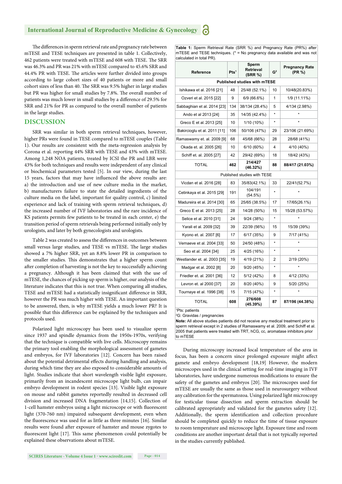#### **International Journal of Reproductive Medicine & Gynecology**

The differences in sperm retrieval rate and pregnancy rate between mTESE and TESE techniques are presented in table 1. Collectively, 462 patients were treated with mTESE and 608 with TESE. The SRR was 46.3% and PR was 21% with mTESE compared to 45.6% SRR and 44.4% PR with TESE. The articles were further divided into groups according to large cohort sizes of 40 patients or more and small cohort sizes of less than 40. The SRR was 9.5% higher in large studies but PR was higher for small studies by 7.8%. The overall number of patients was much lower in small studies by a difference of 29.5% for SRR and 21% for PR as compared to the overall number of patients in the large studies.

#### **DISCUSSION**

SRR was similar in both sperm retrieval techniques, however, higher PRs were found in TESE compared to mTESE couples (Table 1). Our results are consistent with the meta-regression analysis by Corona et al. reporting 44% SRR with TESE and 43% with mTESE. Among 1,248 NOA patients, treated by ICSI the PR and LBR were 43% for both techniques and results were independent of any clinical or biochemical parameters tested [5]. In our view, during the last 15 years, factors that may have influenced the above results are: a) the introduction and use of new culture media in the market, b) manufacturers failure to state the detailed ingredients of the culture media on the label, important for quality control, c) limited experience and lack of training with sperm retrieval techniques, d) the increased number of IVF laboratories and the rare incidence of KS patients permits few patients to be treated in each center, e) the transition period of sperm retrievals being performed initially only by urologists, and later by both gynecologists and urologists.

Table 2 was created to assess the differences in outcomes between small versus large studies, and TESE vs mTESE. The large studies showed a 7% higher SRR, yet an 8.8% lower PR in comparison to the smaller studies. This demonstrates that a higher sperm count after completion of harvesting is not the key to successfully achieving a pregnancy. Although it has been claimed that with the use of mTESE, the chances of picking up sperm is higher, our analysis of the literature indicates that this is not true. When comparing all studies, TESE and mTESE had a statistically insignificant difference in SRR, however the PR was much higher with TESE. An important question to be answered, then, is why mTESE yields a much lower PR? It is possible that this difference can be explained by the techniques and protocols used.

Polarized light microscopy has been used to visualize sperm since 1937 and spindle dynamics from the 1950s-1970s, verifying that the technique is compatible with live cells. Microscopy remains the primary tool enabling the morphological assessment of gametes and embryos, for IVF laboratories [12]. Concern has been raised about the potential detrimental effects during handling and analysis, during which time they are also exposed to considerable amounts of light. Studies indicate that short wavelength visible light exposure, primarily from an incandescent microscope light bulb, can impair embryo development in rodent species [13]. Visible light exposure on mouse and rabbit gametes reportedly resulted in decreased cell division and increased DNA fragmentation [14,15]. Collection of 1-cell hamster embryos using a light microscope or with fluorescent light (370-760 nm) impaired subsequent development, even when the fluorescence was used for as little as three minutes [16]. Similar results were found after exposure of hamster and mouse zygotes to fluorescent light [17]. This same phenomenon could potentially be explained these observations about mTESE.

**Table 1:** Sperm Retrieval Rate (SRR %) and Pregnancy Rate (PR%) after mTESE and TESE techniques.  $(* = No$  pregnancy data available and was not calculated in total PR).

| Reference                                  | Pts <sup>1</sup> | Sperm<br><b>Retrieval</b><br>(SRR %) | G <sup>2</sup> | <b>Pregnancy Rate</b><br>(PR %) |  |  |  |
|--------------------------------------------|------------------|--------------------------------------|----------------|---------------------------------|--|--|--|
| <b>Published studies with mTESE</b>        |                  |                                      |                |                                 |  |  |  |
| Ishikawa et al. 2016 [21]                  | 48               | 25/48 (52.1%)                        | 10             | 10/48(20.83%)                   |  |  |  |
| Ozveri et al. 2015 [22]                    | 9                | 6/9 (66.6%)                          | 1              | 1/9 (11.11%)                    |  |  |  |
| Sabbaghian et al. 2014 [23]                | 134              | 38/134 (28.4%)                       | 5              | 4/134 (2.98%)                   |  |  |  |
| Ando et al 2013 [24]                       | 35               | 14/35 (42.4%)                        | $\star$        |                                 |  |  |  |
| Greco E et al. 2013 [25]                   | 10               | 1/10 (10%)                           | $\star$        |                                 |  |  |  |
| Bakircioglu et al. 2011 [11]               | 106              | 50/106 (47%)                         | 29             | 23/106 (21.69%)                 |  |  |  |
| Ramaswamy et. al. 2009 [9]                 | 68               | 45/68 (66%)                          | 28             | 28/68 (41%)                     |  |  |  |
| Okada et. al. 2005 [26]                    | 10               | 6/10(60%)                            | 4              | 4/10 (40%)                      |  |  |  |
| Schiff et. al. 2005 [27]                   | 42               | 29/42 (69%)                          | 18             | 18/42 (43%)                     |  |  |  |
| TOTAL                                      | 462              | 214/427<br>(46.32%)                  | 88             | 88/417 (21.03%)                 |  |  |  |
| Published studies with TESE                |                  |                                      |                |                                 |  |  |  |
| Vicdan et al. 2016 [28]                    | 83               | 35/83(42.1%)                         | 33             | 22/41(52.7%)                    |  |  |  |
| Cetinkaya et al. 2015 [29]                 | 191              | 104/191<br>(54.5%)                   | $\star$        |                                 |  |  |  |
| Madureira et al. 2014 [30]                 | 65               | 25/65 (38.5%)                        | 17             | 17/65(26.1%)                    |  |  |  |
| Greco E et al. 2013 [25]                   | 28               | 14/28 (50%)                          | 15             | 15/28 (53.57%)                  |  |  |  |
| Selice et al. 2010 [31]                    | 24               | 9/24 (38%)                           | $\star$        |                                 |  |  |  |
| Yarali et al. 2009 [32]                    | 39               | 22/39 (56%)                          | 15             | 15/39 (39%)                     |  |  |  |
| Kyono et. al. 2007 [6]                     | 17               | 6/17(35%)                            | 9              | 7/17 (41%)                      |  |  |  |
| Vernaeve et al. 2004 [33]                  | 50               | 24/50 (48%)                          |                |                                 |  |  |  |
| Seo et al. 2004 [34]                       | 25               | 4/25 (16%)                           | $\star$        |                                 |  |  |  |
| Westlander et. al. 2003 [35]               | 19               | 4/19 (21%)                           | 2              | 2/19 (20%)                      |  |  |  |
| Madgar et al. 2002 [8]                     | 20               | 9/20 (45%)                           | $\star$        |                                 |  |  |  |
| Friedler et. al. 2001 [36]                 | 12               | 5/12 (42%)                           | 8              | 4/12 (33%)                      |  |  |  |
| Levron et. al 2000 [37]                    | 20               | 8/20 (40%)                           | 9              | 5/20 (25%)                      |  |  |  |
| Tournaye et al. 1996 [38]                  | 15               | 7/15 (47%)                           | $\star$        |                                 |  |  |  |
| <b>TOTAL</b><br><sup>1</sup> Pts: patients | 608              | 276/608<br>(45.39%)                  | 87             | 87/196 (44.38%)                 |  |  |  |

2 G: Gravidas / pregnancies

**Note:** All above studies patients did not receive any medical treatment prior to sperm retrieval except in 2 studies of Ramaswamy et al. 2009, and Schiff et al. 2005 that patients were treated with TRT, hCG, cc, aromatase inhibitors prior to mTESE

During microscopy increased local temperature of the area in focus, has been a concern since prolonged exposure might affect gamete and embryo development [18,19] However, the modern microscopes used in the clinical setting for real-time imaging in IVF laboratories, have undergone numerous modifications to ensure the safety of the gametes and embryos [20]. The microscopes used for mTESE are usually the same as those used in neurosurgery without any calibration for the spermatozoa. Using polarized light microscopy for testicular tissue dissection and sperm extraction should be calibrated appropriately and validated for the gametes safety [12]. Additionally, the sperm identification and collection procedure should be completed quickly to reduce the time of tissue exposure to room temperature and microscope light. Exposure time and room conditions are another important detail that is not typically reported in the studies currently published.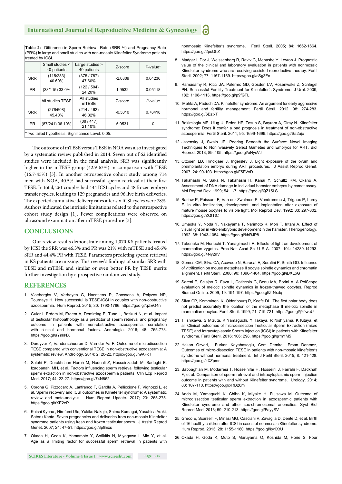**Table 2:** Difference in Sperm Retrieval Rate (SRR %) and Pregnancy Rate (PR%) in large and small studies with non-mosaic Klinefelter Syndrome patients treated by ICSI.

|                                                   | Small studies <<br>40 patients | Large studies ><br>40 patients | Z-score   | $P$ -value* |  |  |
|---------------------------------------------------|--------------------------------|--------------------------------|-----------|-------------|--|--|
| <b>SRR</b>                                        | (115/283)<br>40.60%            | (375/787)<br>47.60%            | $-2.0309$ | 0.04236     |  |  |
| <b>PR</b>                                         | (38/115) 33.0%                 | (122/504)<br>24.20%            | 1.9532    | 0.05118     |  |  |
|                                                   | All studies TESE               | All studies<br><b>mTESE</b>    | Z-score   | P-value     |  |  |
| <b>SRR</b>                                        | (276/608)<br>45.40%            | (214/462)<br>46.32%            | $-0.3010$ | 0.76418     |  |  |
| <b>PR</b>                                         | (87/241) 36.10%                | (88/417)<br>21.10%             | 5.9531    | ŋ           |  |  |
| *Two tailed hypothesis, Significance Level: 0.05. |                                |                                |           |             |  |  |

The outcome of mTESE versus TESE in NOA was also investigated by a systematic review published in 2014. Seven out of 62 identified studies were included in the final analysis. SRR was significantly higher in the mTESE group (42.9-63%) in comparison with TESE (16.7-45%) [3]. In another retrospective cohort study among 714 men with NOA, 40.5% had successful sperm retrieval at their first TESE. In total, 261 couples had 444 ICSI cycles and 48 frozen embryo transfer cycles, leading to 129 pregnancies and 96 live birth deliveries. The expected cumulative delivery rates after six ICSI cycles were 78%. Authors indicated the intrinsic limitations related to the retrospective cohort study design [1]. Fewer complications were observed on ultrasound examination after mTESE procedure [3].

#### **CONCLUSIONS**

Our review results demonstrate among 1,070 KS patients treated by ICSI the SRR was 46.3% and PR was 21% with mTESE and 45.6% SRR and 44.4% PR with TESE. Parameters predicting sperm retrieval in KS patients are missing. This review's findings of similar SRR with TESE and mTESE and similar or even better PR by TESE merits further investigation by a prospective randomized study.

#### **REFERENCES**

- 1. Vloeberghs V, Verheyen G, Haentjens P, Goossens A, Polyzos NP, Tournaye H. How successful is TESE-ICSI in couples with non-obstructive azoospermia. Hum Reprod. 2015; 30: 1790-1796. https://goo.gl/qZEG4n
- 2. Guler I, Erdem M, Erdem A, Demirdag E, Tunc L, Bozkurt N, et al. Impact of testicular histopathology as a predictor of sperm retrieval and pregnancy outcome in patients with non-obstructive azoospermia: correlation with clinical and hormonal factors. Andrologia. 2016; 48: 765-773. https://goo.gl/aYnkNX
- 3. Deruyver Y, Vanderschueren D, Van der Aa F. Outcome of microdissection TESE compared with conventional TESE in non-obstructive azoospermia: A systematic review. Andrology. 2014; 2: 20-22. https://goo.gl/h9APdT
- 4. Salehi P, Derakhshan Horeh M, Nadeali Z, Hosseinzadeh M, Sadeghi E, Izadpanahi MH, et al. Factors influencing sperm retrieval following testicular sperm extraction in non-obstructive azoospermia patients. Clin Exp Reprod Med. 2017; 44: 22-27. https://goo.gl/74N862
- 5. Corona G, Pizzocaro A, Lanfranco F, Garolla A, Pelliccione F, Vignozzi L, et al. Sperm recovery and ICSI outcomes in Klinefelter syndrome: A systematic review and meta-analysis. Hum Reprod Update. 2017; 23: 265-275. https://goo.gl/rXE2eP
- 6. Koichi Kyono , Hirofumi Uto, Yukiko Nakajo, Shima Kumagai, Yasuhisa Araki, Satoru Kanto. Seven pregnancies and deliveries from non-mosaic Klinefelter syndrome patients using fresh and frozen testicular sperm. J Assist Reprod Genet. 2007; 24: 47-51. https://goo.gl/3p8Exs
- 7. Okada H, Goda K, Yamamoto Y, Sofikitis N, Miyagawa I, Mio Y, et al. Age as a limiting factor for successful sperm retrieval in patients with

nonmosaic Klinefelter's syndrome. Fertil Steril. 2005; 84: 1662-1664. https://goo.gl/2psQhZ

- 8. Madgar I, Dor J, Weissenberg R, Raviv G, Menashe Y, Levron J. Prognostic value of the clinical and laboratory evaluation in patients with nonmosaic Klinefelter syndrome who are receiving assisted reproductive therapy. Fertil Steril. 2002; 77: 1167-1169. https://goo.gl/cSg3Fo
- 9. Ramasamy R, Ricci JA, Palermo GD, Gosden LV, Rosenwaks Z, Schlegel PN. Successful Fertility Treatment for Klinefelter's Syndrome. J Urol. 2009; 182: 1108-1113. https://goo.gl/p9fGFL
- 10. Mehta A, Paduch DA. Klinefelter syndrome: An argument for early aggressive hormonal and fertility management. Fertil Steril. 2012; 98: 274-283. https://goo.gl/6BzixT
- 11. Bakircioglu ME, Ulug U, Erden HF, Tosun S, Bayram A, Ciray N. Klinefelter syndrome: Does it confer a bad prognosis in treatment of non-obstructive azoospermia. Fertil Steril. 2011; 95: 1696-1699. https://goo.gl/Sa2ujo
- 12. Jasensky J, Swain JE. Peering Beneath the Surface: Novel Imaging Techniques to Noninvasively Select Gametes and Embryos for ART. Biol Reprod. 2013; 89: 105. https://goo.gl/oNysVJ
- 13. Ottosen LD, Hindkjaer J, Ingerslev J. Light exposure of the ovum and preimplantation embryo during ART procedures. J Assist Reprod Genet. 2007; 24: 99-103. https://goo.gl/F5FVxD
- 14. Takahashi M, Saka N, Takahashi H, Kanai Y, Schultz RM, Okano A. Assessment of DNA damage in individual hamster embryos by comet assay. Mol Reprod Dev. 1999; 54: 1-7. https://goo.gl/QZ15LS
- 15. Barlow P, Puissant F, Van der Zwalmen P, Vandromme J, Trigaux P, Leroy F. In vitro fertilization, development, and implantation after exposure of mature mouse oocytes to visible light. Mol Reprod Dev. 1992; 33: 297-302. https://goo.gl/ZQtTtC
- 16. Umaoka Y, Noda Y, Nakayama T, Narimoto K, Mori T, Iritani A. Effect of visual light on in vitro embryonic development in the hamster. Theriogenology. 1992; 38: 1043-1054. https://goo.gl/kbRJP8
- 17. Takenaka M, Horiuchi T, Yanagimachi R. Effects of light on development of mammalian zygotes. Proc Natl Acad Sci U S A. 2007; 104: 14289-14293. https://goo.gl/4Ny2nV
- 18. Gomes CM, Silva CA, Acevedo N, Baracat E, Serafini P, Smith GD. Influence of vitrification on mouse metaphase II oocyte spindle dynamics and chromatin alignment. Fertil Steril. 2008; 90: 1396-1404. https://goo.gl/iDXLpG
- 19. Sereni E, Sciajno R, Fava L, Coticchio G, Bonu MA, Borini A. A PolScope evaluation of meiotic spindle dynamics in frozen-thawed oocytes. Reprod Biomed Online. 2009; 19: 191-197. https://goo.gl/ZrNxdq
- 20. Silva CP, Kommineni K, Oldenbourg R, Keefe DL. The first polar body does not predict accurately the location of the metaphase II meiotic spindle in mammalian oocytes. Fertil Steril. 1999; 71: 719-721. https://goo.gl/jY9weU
- 21. T Ishikawa, S Mizuta, K Yamaguchi, Y Takaya, R Nishiyama, K Kitaya, et al. Clinical outcomes of microdissection Testicular Sperm Extraction (micro TESE) and Intracytoplasmic Sperm Injection (ICSI) in patients with Klinefelter syndrome. Fertil Steril. 2016; 106: 298. https://goo.gl/qrmYM5
- 22. Hakan Ozveri, Furkan Kayabasoglu, Cem Demirel, Ersan Donmez, Outcomes of micro-dissection TESE in patients with non-mosaic klinefelter's syndrome without hormonal treatment. Int J Fertil Steril. 2015; 8: 421-428. https://goo.gl/zXZpmr
- 23. Sabbaghian M, Modarresi T, Hosseinifar H, Hosseini J, Farrahi F, Dadkhah F, et al. Comparison of sperm retrieval and intracytoplasmic sperm injection outcome in patients with and without Klinefelter syndrome. Urology. 2014; 83: 107-110. https://goo.gl/xRB26m
- 24. Ando M, Yamaguchi K, Chiba K, Miyake H, Fujisawa M. Outcome of microdissection testicular sperm extraction in azoospermic patients with Klinefelter syndrome and other sex-chromosomal anomalies. Syst Biol Reprod Med. 2013; 59: 210-213. https://goo.gl/FayySV
- 25. Greco E, Scarselli F, Minasi MG, Casciani V, Zavaglia D, Dente D, et al. Birth of 16 healthy children after ICSI in cases of nonmosaic Klinefelter syndrome. Hum Reprod. 2013; 28: 1155-1160. https://goo.gl/ky1XrU
- 26. Okada H, Goda K, Muto S, Maruyama O, Koshida M, Horie S. Four